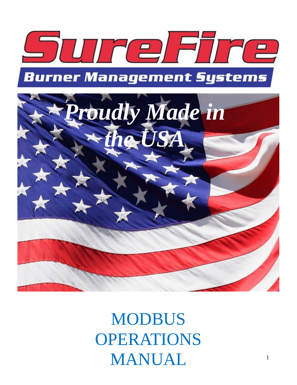



# MODBUS OPERATIONS MANUAL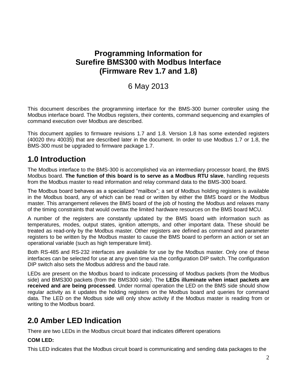## **Programming Information for Surefire BMS300 with Modbus Interface (Firmware Rev 1.7 and 1.8)**

## 6 May 2013

This document describes the programming interface for the BMS-300 burner controller using the Modbus interface board. The Modbus registers, their contents, command sequencing and examples of command execution over Modbus are described.

This document applies to firmware revisions 1.7 and 1.8. Version 1.8 has some extended registers (40020 thru 40035) that are described later in the document. In order to use Modbus 1.7 or 1.8, the BMS-300 must be upgraded to firmware package 1.7.

## **1.0 Introduction**

The Modbus interface to the BMS-300 is accomplished via an intermediary processor board, the BMS Modbus board. **The function of this board is to serve as a Modbus RTU slave**, handling requests from the Modbus master to read information and relay command data to the BMS-300 board.

The Modbus board behaves as a specialized "mailbox"; a set of Modbus holding registers is available in the Modbus board, any of which can be read or written by either the BMS board or the Modbus master. This arrangement relieves the BMS board of the job of hosting the Modbus and relaxes many of the timing constraints that would overtax the limited hardware resources on the BMS board MCU.

A number of the registers are constantly updated by the BMS board with information such as temperatures, modes, output states, ignition attempts, and other important data. These should be treated as read-only by the Modbus master. Other registers are defined as command and parameter registers to be written by the Modbus master to cause the BMS board to perform an action or set an operational variable (such as high temperature limit).

Both RS-485 and RS-232 interfaces are available for use by the Modbus master. Only one of these interfaces can be selected for use at any given time via the configuration DIP switch. The configuration DIP switch also sets the Modbus address and the baud rate.

LEDs are present on the Modbus board to indicate processing of Modbus packets (from the Modbus side) and BMS300 packets (from the BMS300 side). The **LEDs illuminate when intact packets are received and are being processed**. Under normal operation the LED on the BMS side should show regular activity as it updates the holding registers on the Modbus board and queries for command data. The LED on the Modbus side will only show activity if the Modbus master is reading from or writing to the Modbus board.

# **2.0 Amber LED Indication**

There are two LEDs in the Modbus circuit board that indicates different operations

## **COM LED:**

This LED indicates that the Modbus circuit board is communicating and sending data packages to the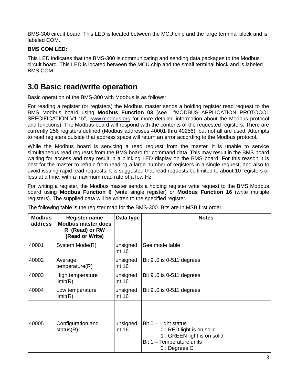BMS-300 circuit board. This LED is located between the MCU chip and the large terminal block and is labeled COM.

## **BMS COM LED:**

This LED indicates that the BMS-300 is communicating and sending data packages to the Modbus circuit board. This LED is located between the MCU chip and the small terminal block and is labeled BMS COM.

# **3.0 Basic read/write operation**

Basic operation of the BMS-300 with Modbus is as follows:

For reading a register (or registers) the Modbus master sends a holding register read request to the BMS Modbus board using **Modbus Function 03** (see "MODBUS APPLICATION PROTOCOL SPECIFICATION V1.1b", [www.modbus.org](http://www.modbus.org/) for more detailed information about the Modbus protocol and functions). The Modbus board will respond with the contents of the requested registers. There are currently 256 registers defined (Modbus addresses 40001 thru 40256), but not all are used. Attempts to read registers outside that address space will return an error according to the Modbus protocol.

While the Modbus board is servicing a read request from the master, it is unable to service simultaneous read requests from the BMS board for command data. This may result in the BMS board waiting for access and may result in a blinking LED display on the BMS board. For this reason it is best for the master to refrain from reading a large number of registers in a single request, and also to avoid issuing rapid read requests. It is suggested that read requests be limited to about 10 registers or less at a time, with a maximum read rate of a few Hz.

For writing a register, the Modbus master sends a holding register write request to the BMS Modbus board using **Modbus Function 6** (write single register) or **Modbus Function 16** (write multiple registers). The supplied data will be written to the specified register.

| <b>Modbus</b><br>address | <b>Register name</b><br><b>Modbus master does</b><br>R (Read) or RW<br>(Read or Write) | Data type          | <b>Notes</b>                                                                                                                      |
|--------------------------|----------------------------------------------------------------------------------------|--------------------|-----------------------------------------------------------------------------------------------------------------------------------|
| 40001                    | System Mode(R)                                                                         | unsigned<br>int 16 | See mode table                                                                                                                    |
| 40002                    | Average<br>temperature(R)                                                              | unsigned<br>int 16 | Bit $9.0$ is 0-511 degrees                                                                                                        |
| 40003                    | High temperature<br>limit(R)                                                           | unsigned<br>int 16 | Bit 90 is 0-511 degrees                                                                                                           |
| 40004                    | Low temperature<br>limit(R)                                                            | unsigned<br>int 16 | Bit $9.0$ is 0-511 degrees                                                                                                        |
| 40005                    | Configuration and<br>status(R)                                                         | unsigned<br>int 16 | Bit $0$ – Light status<br>0 : RED light is on solid<br>1 : GREEN light is on solid<br>Bit 1 - Temperature units<br>$0:$ Degrees C |

The following table is the register map for the BMS-300. Bits are in MSB first order.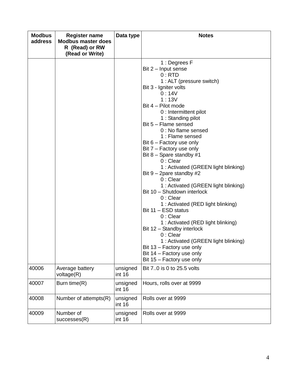| <b>Modbus</b><br>address | <b>Register name</b><br><b>Modbus master does</b><br>R (Read) or RW<br>(Read or Write) | Data type          | <b>Notes</b>                                                                                                                                                                                                                                                                                                                                                                                                                                                                                                                                                                                                                                                                                                                                                                                                                               |
|--------------------------|----------------------------------------------------------------------------------------|--------------------|--------------------------------------------------------------------------------------------------------------------------------------------------------------------------------------------------------------------------------------------------------------------------------------------------------------------------------------------------------------------------------------------------------------------------------------------------------------------------------------------------------------------------------------------------------------------------------------------------------------------------------------------------------------------------------------------------------------------------------------------------------------------------------------------------------------------------------------------|
|                          |                                                                                        |                    | 1 : Degrees F<br>Bit 2 – Input sense<br>0:RTD<br>1 : ALT (pressure switch)<br>Bit 3 - Igniter volts<br>0:14V<br>1:13V<br>Bit 4 - Pilot mode<br>0 : Intermittent pilot<br>1 : Standing pilot<br>Bit 5 - Flame sensed<br>0 : No flame sensed<br>1 : Flame sensed<br>Bit $6$ – Factory use only<br>Bit 7 – Factory use only<br>Bit $8$ – Spare standby #1<br>$0:$ Clear<br>1 : Activated (GREEN light blinking)<br>Bit $9 - 2$ pare standby #2<br>$0:$ Clear<br>1 : Activated (GREEN light blinking)<br>Bit 10 - Shutdown interlock<br>$0:$ Clear<br>1 : Activated (RED light blinking)<br>Bit 11 - ESD status<br>$0:$ Clear<br>1 : Activated (RED light blinking)<br>Bit 12 - Standby interlock<br>$0:$ Clear<br>1 : Activated (GREEN light blinking)<br>Bit 13 – Factory use only<br>Bit 14 - Factory use only<br>Bit 15 - Factory use only |
| 40006                    | Average battery<br>voltage(R)                                                          | unsigned<br>int 16 | Bit 70 is 0 to 25.5 volts                                                                                                                                                                                                                                                                                                                                                                                                                                                                                                                                                                                                                                                                                                                                                                                                                  |
| 40007                    | Burn time(R)                                                                           | unsigned<br>int 16 | Hours, rolls over at 9999                                                                                                                                                                                                                                                                                                                                                                                                                                                                                                                                                                                                                                                                                                                                                                                                                  |
| 40008                    | Number of attempts(R)                                                                  | unsigned<br>int 16 | Rolls over at 9999                                                                                                                                                                                                                                                                                                                                                                                                                                                                                                                                                                                                                                                                                                                                                                                                                         |
| 40009                    | Number of<br>successes(R)                                                              | unsigned<br>int 16 | Rolls over at 9999                                                                                                                                                                                                                                                                                                                                                                                                                                                                                                                                                                                                                                                                                                                                                                                                                         |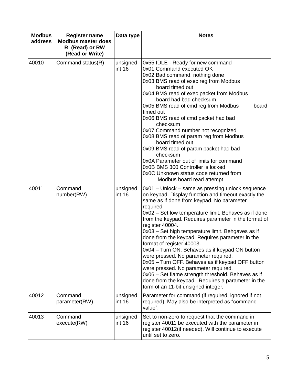| <b>Modbus</b><br>address | <b>Register name</b><br><b>Modbus master does</b><br>R (Read) or RW<br>(Read or Write) | Data type          | <b>Notes</b>                                                                                                                                                                                                                                                                                                                                                                                                                                                                                                                                                                                                                                                                                                                                                                      |  |
|--------------------------|----------------------------------------------------------------------------------------|--------------------|-----------------------------------------------------------------------------------------------------------------------------------------------------------------------------------------------------------------------------------------------------------------------------------------------------------------------------------------------------------------------------------------------------------------------------------------------------------------------------------------------------------------------------------------------------------------------------------------------------------------------------------------------------------------------------------------------------------------------------------------------------------------------------------|--|
| 40010                    | Command status(R)                                                                      | unsigned<br>int 16 | 0x55 IDLE - Ready for new command<br>0x01 Command executed OK<br>0x02 Bad command, nothing done<br>0x03 BMS read of exec reg from Modbus<br>board timed out<br>0x04 BMS read of exec packet from Modbus<br>board had bad checksum<br>0x05 BMS read of cmd reg from Modbus<br>board<br>timed out<br>0x06 BMS read of cmd packet had bad<br>checksum<br>0x07 Command number not recognized<br>0x08 BMS read of param reg from Modbus<br>board timed out<br>0x09 BMS read of param packet had bad<br>checksum<br>0x0A Parameter out of limits for command<br>0x0B BMS 300 Controller is locked<br>0x0C Unknown status code returned from<br>Modbus board read attempt                                                                                                                |  |
| 40011                    | Command<br>number(RW)                                                                  | unsigned<br>int 16 | 0x01 - Unlock - same as pressing unlock sequence<br>on keypad. Display function and timeout exactly the<br>same as if done from keypad. No parameter<br>required.<br>0x02 - Set low temperature limit. Behaves as if done<br>from the keypad. Requires parameter in the format of<br>register 40004.<br>0x03 - Set high temperature limit. Behgaves as if<br>done from the keypad. Requires parameter in the<br>format of register 40003.<br>0x04 - Turn ON. Behaves as if keypad ON button<br>were pressed. No parameter required.<br>0x05 - Turn OFF. Behaves as if keypad OFF button<br>were pressed. No parameter required.<br>0x06 - Set flame strength threshold. Behaves as if<br>done from the keypad. Requires a parameter in the<br>form of an 11-bit unsigned integer. |  |
| 40012                    | Command<br>parameter(RW)                                                               | unsigned<br>int 16 | Parameter for command (if required, ignored if not<br>required). May also be interpreted as "command<br>value".                                                                                                                                                                                                                                                                                                                                                                                                                                                                                                                                                                                                                                                                   |  |
| 40013                    | Command<br>execute(RW)                                                                 | unsigned<br>int 16 | Set to non-zero to request that the command in<br>register 40011 be executed with the parameter in<br>register 40012(if needed). Will continue to execute<br>until set to zero.                                                                                                                                                                                                                                                                                                                                                                                                                                                                                                                                                                                                   |  |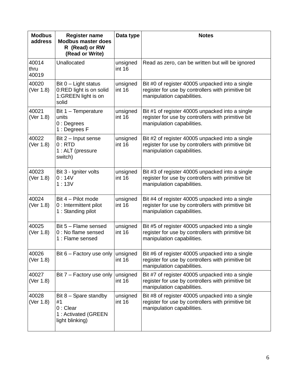| <b>Modbus</b><br>address | <b>Register name</b><br><b>Modbus master does</b><br>R (Read) or RW                   | Data type          | <b>Notes</b>                                                                                                                        |
|--------------------------|---------------------------------------------------------------------------------------|--------------------|-------------------------------------------------------------------------------------------------------------------------------------|
|                          | (Read or Write)                                                                       |                    |                                                                                                                                     |
| 40014<br>thru<br>40019   | Unallocated                                                                           | unsigned<br>int 16 | Read as zero, can be written but will be ignored                                                                                    |
| 40020<br>(Ver 1.8)       | Bit $0$ – Light status<br>0:RED light is on solid<br>1:GREEN light is on<br>solid     | unsigned<br>int 16 | Bit #0 of register 40005 unpacked into a single<br>register for use by controllers with primitive bit<br>manipulation capabilities. |
| 40021<br>(Ver 1.8)       | Bit 1 - Temperature<br>units<br>$0:$ Degrees<br>1 : Degrees F                         | unsigned<br>int 16 | Bit #1 of register 40005 unpacked into a single<br>register for use by controllers with primitive bit<br>manipulation capabilities. |
| 40022<br>(Ver 1.8)       | Bit 2 - Input sense<br>0:RTD<br>1 : ALT (pressure<br>switch)                          | unsigned<br>int 16 | Bit #2 of register 40005 unpacked into a single<br>register for use by controllers with primitive bit<br>manipulation capabilities. |
| 40023<br>(Ver 1.8)       | Bit 3 - Igniter volts<br>0:14V<br>1:13V                                               | unsigned<br>int 16 | Bit #3 of register 40005 unpacked into a single<br>register for use by controllers with primitive bit<br>manipulation capabilities. |
| 40024<br>(Ver 1.8)       | Bit 4 - Pilot mode<br>0 : Intermittent pilot<br>1 : Standing pilot                    | unsigned<br>int 16 | Bit #4 of register 40005 unpacked into a single<br>register for use by controllers with primitive bit<br>manipulation capabilities. |
| 40025<br>(Ver 1.8)       | Bit 5 - Flame sensed<br>0 : No flame sensed<br>1 : Flame sensed                       | unsigned<br>int 16 | Bit #5 of register 40005 unpacked into a single<br>register for use by controllers with primitive bit<br>manipulation capabilities. |
| 40026<br>(Ver 1.8)       | Bit $6$ – Factory use only                                                            | unsigned<br>int 16 | Bit #6 of register 40005 unpacked into a single<br>register for use by controllers with primitive bit<br>manipulation capabilities. |
| 40027<br>(Ver 1.8)       | Bit 7 - Factory use only                                                              | unsigned<br>int 16 | Bit #7 of register 40005 unpacked into a single<br>register for use by controllers with primitive bit<br>manipulation capabilities. |
| 40028<br>(Ver 1.8)       | Bit $8 -$ Spare standby<br>#1<br>$0:$ Clear<br>1: Activated (GREEN<br>light blinking) | unsigned<br>int 16 | Bit #8 of register 40005 unpacked into a single<br>register for use by controllers with primitive bit<br>manipulation capabilities. |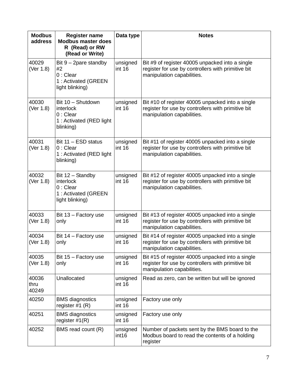| <b>Modbus</b><br>address | <b>Register name</b><br><b>Modbus master does</b><br>R (Read) or RW<br>(Read or Write) | Data type          | <b>Notes</b>                                                                                                                         |
|--------------------------|----------------------------------------------------------------------------------------|--------------------|--------------------------------------------------------------------------------------------------------------------------------------|
| 40029<br>(Ver 1.8)       | Bit $9 - 2$ pare standby<br>#2<br>$0:$ Clear<br>1: Activated (GREEN<br>light blinking) | unsigned<br>int 16 | Bit #9 of register 40005 unpacked into a single<br>register for use by controllers with primitive bit<br>manipulation capabilities.  |
| 40030<br>(Ver 1.8)       | Bit 10 - Shutdown<br>interlock<br>$0:$ Clear<br>1 : Activated (RED light<br>blinking)  | unsigned<br>int 16 | Bit #10 of register 40005 unpacked into a single<br>register for use by controllers with primitive bit<br>manipulation capabilities. |
| 40031<br>(Ver 1.8)       | Bit 11 - ESD status<br>$0:$ Clear<br>1 : Activated (RED light<br>blinking)             | unsigned<br>int 16 | Bit #11 of register 40005 unpacked into a single<br>register for use by controllers with primitive bit<br>manipulation capabilities. |
| 40032<br>(Ver 1.8)       | Bit 12 - Standby<br>interlock<br>$0:$ Clear<br>1: Activated (GREEN<br>light blinking)  | unsigned<br>int 16 | Bit #12 of register 40005 unpacked into a single<br>register for use by controllers with primitive bit<br>manipulation capabilities. |
| 40033<br>(Ver 1.8)       | Bit 13 - Factory use<br>only                                                           | unsigned<br>int 16 | Bit #13 of register 40005 unpacked into a single<br>register for use by controllers with primitive bit<br>manipulation capabilities. |
| 40034<br>(Ver 1.8)       | Bit 14 - Factory use<br>only                                                           | unsigned<br>int 16 | Bit #14 of register 40005 unpacked into a single<br>register for use by controllers with primitive bit<br>manipulation capabilities. |
| 40035<br>(Ver 1.8)       | Bit 15 - Factory use<br>only                                                           | unsigned<br>int 16 | Bit #15 of register 40005 unpacked into a single<br>register for use by controllers with primitive bit<br>manipulation capabilities. |
| 40036<br>thru<br>40249   | Unallocated                                                                            | unsigned<br>int 16 | Read as zero, can be written but will be ignored                                                                                     |
| 40250                    | <b>BMS</b> diagnostics<br>register $#1$ (R)                                            | unsigned<br>int 16 | Factory use only                                                                                                                     |
| 40251                    | <b>BMS</b> diagnostics<br>register $#1(R)$                                             | unsigned<br>int 16 | Factory use only                                                                                                                     |
| 40252                    | BMS read count (R)                                                                     | unsigned<br>int16  | Number of packets sent by the BMS board to the<br>Modbus board to read the contents of a holding<br>register                         |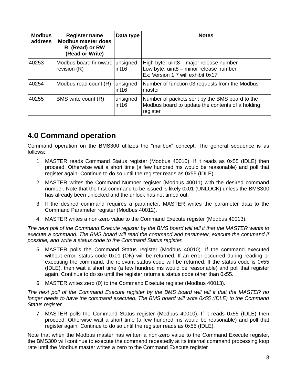| <b>Modbus</b><br>address | <b>Register name</b><br><b>Modbus master does</b><br>R (Read) or RW<br>(Read or Write) | Data type                     | <b>Notes</b>                                                                                                           |
|--------------------------|----------------------------------------------------------------------------------------|-------------------------------|------------------------------------------------------------------------------------------------------------------------|
| 40253                    | Modbus board firmware<br>revision $(R)$                                                | unsigned<br>int16             | High byte: uint8 - major release number<br>Low byte: uint8 - minor release number<br>Ex: Version 1.7 will exhibit 0x17 |
| 40254                    | Modbus read count (R)                                                                  | unsigned<br>int <sub>16</sub> | Number of function 03 requests from the Modbus<br>master                                                               |
| 40255                    | BMS write count (R)                                                                    | unsigned<br>int <sub>16</sub> | Number of packets sent by the BMS board to the<br>Modbus board to update the contents of a holding<br>register         |

## **4.0 Command operation**

Command operation on the BMS300 utilizes the "mailbox" concept. The general sequence is as follows:

- 1. MASTER reads Command Status register (Modbus 40010). If it reads as 0x55 (IDLE) then proceed. Otherwise wait a short time (a few hundred ms would be reasonable) and poll that register again. Continue to do so until the register reads as 0x55 (IDLE).
- 2. MASTER writes the Command Number register (Modbus 40011) with the desired command number. Note that the first command to be issued is likely 0x01 (UNLOCK) unless the BMS300 has already been unlocked and the unlock has not timed out.
- 3. If the desired command requires a parameter, MASTER writes the parameter data to the Command Parameter register (Modbus 40012).
- 4. MASTER writes a non-zero value to the Command Execute register (Modbus 40013).

*The next poll of the Command Execute register by the BMS board will tell it that the MASTER wants to execute a command. The BMS board will read the command and parameter, execute the command if possible, and write a status code to the Command Status register.*

- 5. MASTER polls the Command Status register (Modbus 40010). If the command executed without error, status code 0x01 (OK) will be returned. If an error occurred during reading or executing the command, the relevant status code will be returned. If the status code is 0x55 (IDLE), then wait a short time (a few hundred ms would be reasonable) and poll that register again. Continue to do so until the register returns a status code other than 0x55.
- 6. MASTER writes zero (0) to the Command Execute register (Modbus 40013).

*The next poll of the Command Execute register by the BMS board will tell it that the MASTER no longer needs to have the command executed. The BMS board will write 0x55 (IDLE) to the Command Status register.*

7. MASTER polls the Command Status register (Modbus 40010). If it reads 0x55 (IDLE) then proceed. Otherwise wait a short time (a few hundred ms would be reasonable) and poll that register again. Continue to do so until the register reads as 0x55 (IDLE).

Note that when the Modbus master has written a non-zero value to the Command Execute register, the BMS300 will continue to execute the command repeatedly at its internal command processing loop rate until the Modbus master writes a zero to the Command Execute register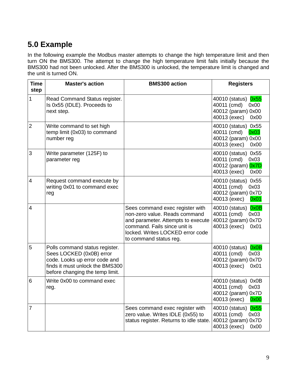# **5.0 Example**

In the following example the Modbus master attempts to change the high temperature limit and then turn ON the BMS300. The attempt to change the high temperature limit fails initially because the BMS300 had not been unlocked. After the BMS300 is unlocked, the temperature limit is changed and the unit is turned ON.

| <b>Time</b><br>step | <b>Master's action</b>                                                                                                                                            | <b>BMS300 action</b>                                                                                                                                                                                 | <b>Registers</b>                                                                            |
|---------------------|-------------------------------------------------------------------------------------------------------------------------------------------------------------------|------------------------------------------------------------------------------------------------------------------------------------------------------------------------------------------------------|---------------------------------------------------------------------------------------------|
| 1                   | Read Command Status register.<br>Is 0x55 (IDLE). Proceeds to<br>next step.                                                                                        |                                                                                                                                                                                                      | 40010 (status) 0x55<br>40011 (cmd)<br>0x00<br>40012 (param) 0x00<br>40013 (exec)<br>0x00    |
| $\overline{2}$      | Write command to set high<br>temp limit (0x03) to command<br>number reg                                                                                           |                                                                                                                                                                                                      | 40010 (status) 0x55<br>40011 (cmd)<br>0x03<br>40012 (param) 0x00<br>40013 (exec)<br>0x00    |
| 3                   | Write parameter (125F) to<br>parameter reg                                                                                                                        |                                                                                                                                                                                                      | 40010 (status) 0x55<br>40011 (cmd)<br>0x03<br>40012 (param) 0x7D<br>40013 (exec)<br>0x00    |
| 4                   | Request command execute by<br>writing 0x01 to command exec<br>reg                                                                                                 |                                                                                                                                                                                                      | 40010 (status) 0x55<br>40011 (cmd)<br>0x03<br>40012 (param) 0x7D<br>40013 (exec)<br>0x01    |
| 4                   |                                                                                                                                                                   | Sees command exec register with<br>non-zero value. Reads command<br>and parameter. Attempts to execute<br>command. Fails since unit is<br>locked. Writes LOCKED error code<br>to command status reg. | 0x0B<br>40010 (status)<br>40011 (cmd)<br>0x03<br>40012 (param) 0x7D<br>40013 (exec)<br>0x01 |
| 5                   | Polls command status register.<br>Sees LOCKED (0x0B) error<br>code. Looks up error code and<br>finds it must unlock the BMS300<br>before changing the temp limit. |                                                                                                                                                                                                      | 40010 (status)<br>0x0B<br>40011 (cmd)<br>0x03<br>40012 (param) 0x7D<br>40013 (exec)<br>0x01 |
| 6                   | Write 0x00 to command exec<br>reg.                                                                                                                                |                                                                                                                                                                                                      | 40010 (status) 0x0B<br>40011 (cmd)<br>0x03<br>40012 (param) 0x7D<br>40013 (exec)<br>0x00    |
| $\overline{7}$      |                                                                                                                                                                   | Sees command exec register with<br>zero value. Writes IDLE (0x55) to<br>status register. Returns to idle state.                                                                                      | 0x55<br>40010 (status)<br>40011 (cmd)<br>0x03<br>40012 (param) 0x7D<br>40013 (exec)<br>0x00 |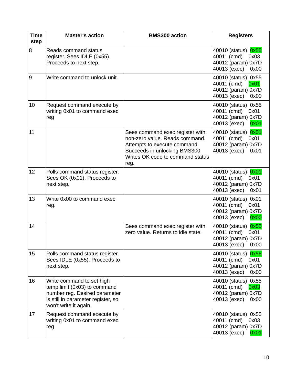| <b>Time</b><br>step | <b>Master's action</b>                                                                                                                                    | <b>BMS300 action</b>                                                                                                                                                          | <b>Registers</b>                                                                            |
|---------------------|-----------------------------------------------------------------------------------------------------------------------------------------------------------|-------------------------------------------------------------------------------------------------------------------------------------------------------------------------------|---------------------------------------------------------------------------------------------|
| 8                   | Reads command status<br>register. Sees IDLE (0x55).<br>Proceeds to next step.                                                                             |                                                                                                                                                                               | 40010 (status) 0x55<br>40011 (cmd)<br>0x03<br>40012 (param) 0x7D<br>40013 (exec)<br>0x00    |
| 9                   | Write command to unlock unit.                                                                                                                             |                                                                                                                                                                               | 40010 (status) 0x55<br>40011 (cmd)<br>0x01<br>40012 (param) 0x7D<br>40013 (exec)<br>0x00    |
| 10                  | Request command execute by<br>writing 0x01 to command exec<br>reg                                                                                         |                                                                                                                                                                               | 40010 (status) 0x55<br>40011 (cmd)<br>0x01<br>40012 (param) 0x7D<br>40013 (exec)<br>0x01    |
| 11                  |                                                                                                                                                           | Sees command exec register with<br>non-zero value. Reads command.<br>Attempts to execute command.<br>Succeeds in unlocking BMS300<br>Writes OK code to command status<br>reg. | 0x01<br>40010 (status)<br>40011 (cmd)<br>0x01<br>40012 (param) 0x7D<br>40013 (exec)<br>0x01 |
| 12                  | Polls command status register.<br>Sees OK (0x01). Proceeds to<br>next step.                                                                               |                                                                                                                                                                               | 40010 (status)<br>0x01<br>40011 (cmd)<br>0x01<br>40012 (param) 0x7D<br>40013 (exec)<br>0x01 |
| 13                  | Write 0x00 to command exec<br>reg.                                                                                                                        |                                                                                                                                                                               | 40010 (status) 0x01<br>40011 (cmd)<br>0x01<br>40012 (param) 0x7D<br>40013 (exec)<br>0x00    |
| 14                  |                                                                                                                                                           | Sees command exec register with<br>zero value. Returns to idle state.                                                                                                         | 40010 (status) 0x55<br>40011 (cmd)<br>0x01<br>40012 (param) 0x7D<br>40013 (exec)<br>0x00    |
| 15                  | Polls command status register.<br>Sees IDLE (0x55). Proceeds to<br>next step.                                                                             |                                                                                                                                                                               | 40010 (status) 0x55<br>40011 (cmd)<br>0x01<br>40012 (param) 0x7D<br>40013 (exec)<br>0x00    |
| 16                  | Write command to set high<br>temp limit (0x03) to command<br>number reg. Desired parameter<br>is still in parameter register, so<br>won't write it again. |                                                                                                                                                                               | 40010 (status) 0x55<br>40011 (cmd)<br>0x03<br>40012 (param) 0x7D<br>40013 (exec)<br>0x00    |
| 17                  | Request command execute by<br>writing 0x01 to command exec<br>reg                                                                                         |                                                                                                                                                                               | 40010 (status) 0x55<br>40011 (cmd)<br>0x03<br>40012 (param) 0x7D<br>40013 (exec)<br>0x01    |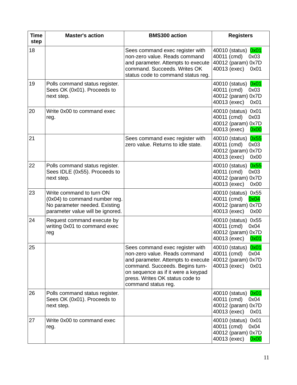| <b>Time</b><br>step | <b>Master's action</b>                                                                                                         | <b>BMS300 action</b>                                                                                                                                                                                                                      | <b>Registers</b>                                                                            |
|---------------------|--------------------------------------------------------------------------------------------------------------------------------|-------------------------------------------------------------------------------------------------------------------------------------------------------------------------------------------------------------------------------------------|---------------------------------------------------------------------------------------------|
| 18                  |                                                                                                                                | Sees command exec register with<br>non-zero value. Reads command<br>and parameter. Attempts to execute<br>command. Succeeds. Writes OK<br>status code to command status reg.                                                              | 40010 (status)<br>0x01<br>40011 (cmd)<br>0x03<br>40012 (param) 0x7D<br>40013 (exec)<br>0x01 |
| 19                  | Polls command status register.<br>Sees OK (0x01). Proceeds to<br>next step.                                                    |                                                                                                                                                                                                                                           | 0x01<br>40010 (status)<br>40011 (cmd)<br>0x03<br>40012 (param) 0x7D<br>40013 (exec)<br>0x01 |
| 20                  | Write 0x00 to command exec<br>reg.                                                                                             |                                                                                                                                                                                                                                           | 40010 (status) 0x01<br>40011 (cmd)<br>0x03<br>40012 (param) 0x7D<br>40013 (exec)<br>0x00    |
| 21                  |                                                                                                                                | Sees command exec register with<br>zero value. Returns to idle state.                                                                                                                                                                     | 0x55<br>40010 (status)<br>40011 (cmd)<br>0x03<br>40012 (param) 0x7D<br>40013 (exec)<br>0x00 |
| 22                  | Polls command status register.<br>Sees IDLE (0x55). Proceeds to<br>next step.                                                  |                                                                                                                                                                                                                                           | 0x55<br>40010 (status)<br>40011 (cmd)<br>0x03<br>40012 (param) 0x7D<br>40013 (exec)<br>0x00 |
| 23                  | Write command to turn ON<br>(0x04) to command number reg.<br>No parameter needed. Existing<br>parameter value will be ignored. |                                                                                                                                                                                                                                           | 40010 (status) 0x55<br>40011 (cmd)<br>0x04<br>40012 (param) 0x7D<br>40013 (exec)<br>0x00    |
| 24                  | Request command execute by<br>writing 0x01 to command exec<br>reg                                                              |                                                                                                                                                                                                                                           | 40010 (status) 0x55<br>40011 (cmd)<br>0x04<br>40012 (param) 0x7D<br>40013 (exec)<br>0x01    |
| 25                  |                                                                                                                                | Sees command exec register with<br>non-zero value. Reads command<br>and parameter. Attempts to execute<br>command. Succeeds. Begins turn-<br>on sequence as if it were a keypad<br>press. Writes OK status code to<br>command status reg. | 40010 (status) 0x01<br>40011 (cmd)<br>0x04<br>40012 (param) 0x7D<br>40013 (exec)<br>0x01    |
| 26                  | Polls command status register.<br>Sees OK (0x01). Proceeds to<br>next step.                                                    |                                                                                                                                                                                                                                           | 40010 (status) 0x01<br>40011 (cmd)<br>0x04<br>40012 (param) 0x7D<br>40013 (exec)<br>0x01    |
| 27                  | Write 0x00 to command exec<br>reg.                                                                                             |                                                                                                                                                                                                                                           | 40010 (status) 0x01<br>40011 (cmd)<br>0x04<br>40012 (param) 0x7D<br>40013 (exec)<br>0x00    |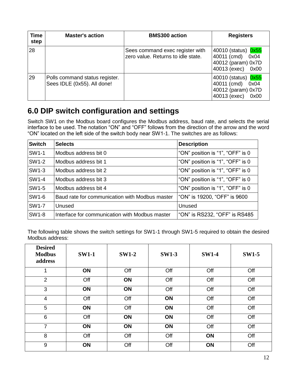| <b>Time</b><br>step | <b>Master's action</b>                                        | <b>BMS300 action</b>                                                  | <b>Registers</b>                                                                         |
|---------------------|---------------------------------------------------------------|-----------------------------------------------------------------------|------------------------------------------------------------------------------------------|
| 28                  |                                                               | Sees command exec register with<br>zero value. Returns to idle state. | 40010 (status) 0x55<br>40011 (cmd)<br>0x04<br>40012 (param) 0x7D<br>40013 (exec)<br>0x00 |
| 29                  | Polls command status register.<br>Sees IDLE (0x55). All done! |                                                                       | 40010 (status) 0x55<br>40011 (cmd)<br>0x04<br>40012 (param) 0x7D<br>40013 (exec)<br>0x00 |

## **6.0 DIP switch configuration and settings**

Switch SW1 on the Modbus board configures the Modbus address, baud rate, and selects the serial interface to be used. The notation "ON" and "OFF" follows from the direction of the arrow and the word "ON" located on the left side of the switch body near SW1-1. The switches are as follows:

| <b>Switch</b> | <b>Selects</b>                                 | <b>Description</b>               |
|---------------|------------------------------------------------|----------------------------------|
| SW1-1         | Modbus address bit 0                           | "ON" position is "1", "OFF" is 0 |
| SW1-2         | Modbus address bit 1                           | "ON" position is "1", "OFF" is 0 |
| SW1-3         | Modbus address bit 2                           | "ON" position is "1", "OFF" is 0 |
| SW1-4         | Modbus address bit 3                           | "ON" position is "1", "OFF" is 0 |
| <b>SW1-5</b>  | Modbus address bit 4                           | "ON" position is "1", "OFF" is 0 |
| SW1-6         | Baud rate for communication with Modbus master | "ON" is 19200, "OFF" is 9600     |
| <b>SW1-7</b>  | Unused                                         | Unused                           |
| <b>SW1-8</b>  | Interface for communication with Modbus master | "ON" is RS232, "OFF" is RS485    |

The following table shows the switch settings for SW1-1 through SW1-5 required to obtain the desired Modbus address:

| <b>Desired</b><br><b>Modbus</b><br>address | <b>SW1-1</b> | <b>SW1-2</b> | <b>SW1-3</b> | <b>SW1-4</b> | <b>SW1-5</b> |
|--------------------------------------------|--------------|--------------|--------------|--------------|--------------|
| 1                                          | ON           | Off          | Off          | Off          | Off          |
| $\overline{2}$                             | Off          | ON           | Off          | Off          | Off          |
| 3                                          | ON           | ON           | Off          | Off          | Off          |
| $\overline{4}$                             | Off          | Off          | ON           | Off          | Off          |
| 5                                          | ON           | Off          | ON           | Off          | Off          |
| 6                                          | Off          | ON           | ON           | Off          | Off          |
| $\overline{7}$                             | ON           | ON           | ON           | Off          | Off          |
| 8                                          | Off          | Off          | Off          | ON           | Off          |
| 9                                          | ON           | Off          | Off          | ON           | Off          |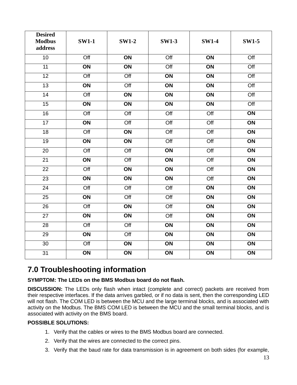| <b>Desired</b><br><b>Modbus</b><br>address | <b>SW1-1</b>     | <b>SW1-2</b>     | <b>SW1-3</b>     | <b>SW1-4</b>     | <b>SW1-5</b>     |
|--------------------------------------------|------------------|------------------|------------------|------------------|------------------|
| 10                                         | $\overline{Off}$ | $\overline{ON}$  | $\overline{Off}$ | $\overline{ON}$  | $\overline{Off}$ |
| 11                                         | $\overline{ON}$  | ON               | $\overline{Off}$ | ON               | $\overline{Off}$ |
| 12                                         | Off              | $\overline{Off}$ | ON               | ON               | $\overline{Off}$ |
| $\overline{13}$                            | ON               | $\overline{Off}$ | $\overline{ON}$  | ON               | Off              |
| 14                                         | Off              | ON               | ON               | ON               | Off              |
| 15                                         | ON               | ON               | ON               | ON               | Off              |
| 16                                         | $\overline{Off}$ | $\overline{Off}$ | $\overline{Off}$ | $\overline{Off}$ | $\overline{ON}$  |
| $\overline{17}$                            | ON               | $\overline{Off}$ | $\overline{Off}$ | Off              | ON               |
| 18                                         | Off              | ON               | Off              | Off              | $\overline{ON}$  |
| $\overline{19}$                            | $\overline{ON}$  | $\overline{ON}$  | $\overline{Off}$ | $\overline{Off}$ | $\overline{ON}$  |
| $\overline{20}$                            | $\overline{Off}$ | $\overline{Off}$ | ON               | $\overline{Off}$ | $\overline{ON}$  |
| $\overline{21}$                            | $\overline{ON}$  | $\overline{Off}$ | $\overline{ON}$  | $\overline{Off}$ | $\overline{ON}$  |
| $\overline{22}$                            | $\overline{Off}$ | $\overline{ON}$  | $\overline{ON}$  | $\overline{Off}$ | $\overline{ON}$  |
| $\overline{23}$                            | $\overline{ON}$  | $\overline{ON}$  | $\overline{ON}$  | $\overline{Off}$ | $\overline{ON}$  |
| $\overline{24}$                            | $\overline{Off}$ | $\overline{Off}$ | $\overline{Off}$ | ON               | ON               |
| 25                                         | ON               | $\overline{Off}$ | $\overline{Off}$ | ON               | ON               |
| $\overline{26}$                            | $\overline{Off}$ | $\overline{ON}$  | $\overline{Off}$ | ON               | ON               |
| 27                                         | ON               | ON               | $\overline{Off}$ | ON               | ON               |
| 28                                         | $\overline{Off}$ | $\overline{Off}$ | $\overline{ON}$  | ON               | ON               |
| $\overline{29}$                            | $\overline{ON}$  | $\overline{Off}$ | $\overline{ON}$  | ON               | $\overline{ON}$  |
| $\overline{30}$                            | $\overline{Off}$ | $\overline{ON}$  | $\overline{ON}$  | $\overline{ON}$  | $\overline{ON}$  |
| $\overline{31}$                            | ON               | $\overline{ON}$  | ON               | ON               | $\overline{ON}$  |

## **7.0 Troubleshooting information**

## **SYMPTOM: The LEDs on the BMS Modbus board do not flash.**

**DISCUSSION:** The LEDs only flash when intact (complete and correct) packets are received from their respective interfaces. If the data arrives garbled, or if no data is sent, then the corresponding LED will not flash. The COM LED is between the MCU and the large terminal blocks, and is associated with activity on the Modbus. The BMS COM LED is between the MCU and the small terminal blocks, and is associated with activity on the BMS board.

### **POSSIBLE SOLUTIONS:**

- 1. Verify that the cables or wires to the BMS Modbus board are connected.
- 2. Verify that the wires are connected to the correct pins.
- 3. Verify that the baud rate for data transmission is in agreement on both sides (for example,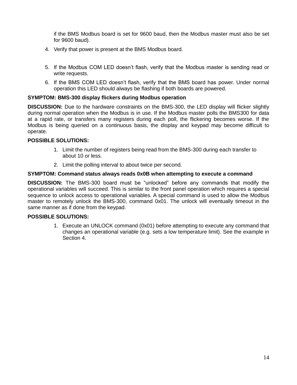if the BMS Modbus board is set for 9600 baud, then the Modbus master must also be set for 9600 baud).

- 4. Verify that power is present at the BMS Modbus board.
- 5. If the Modbus COM LED doesn't flash, verify that the Modbus master is sending read or write requests.
- 6. If the BMS COM LED doesn't flash, verify that the BMS board has power. Under normal operation this LED should always be flashing if both boards are powered.

#### **SYMPTOM: BMS-300 display flickers during Modbus operation**

**DISCUSSION:** Due to the hardware constraints on the BMS-300, the LED display will flicker slightly during normal operation when the Modbus is in use. If the Modbus master polls the BMS300 for data at a rapid rate, or transfers many registers during each poll, the flickering becomes worse. If the Modbus is being queried on a continuous basis, the display and keypad may become difficult to operate.

#### **POSSIBLE SOLUTIONS:**

- 1. Limit the number of registers being read from the BMS-300 during each transfer to about 10 or less.
- 2. Limit the polling interval to about twice per second.

#### **SYMPTOM: Command status always reads 0x0B when attempting to execute a command**

**DISCUSSION:** The BMS-300 board must be "unlocked" before any commands that modify the operational variables will succeed. This is similar to the front panel operation which requires a special sequence to unlock access to operational variables. A special command is used to allow the Modbus master to remotely unlock the BMS-300, command 0x01. The unlock will eventually timeout in the same manner as if done from the keypad.

#### **POSSIBLE SOLUTIONS:**

1. Execute an UNLOCK command (0x01) before attempting to execute any command that changes an operational variable (e.g. sets a low temperature limit). See the example in Section 4.